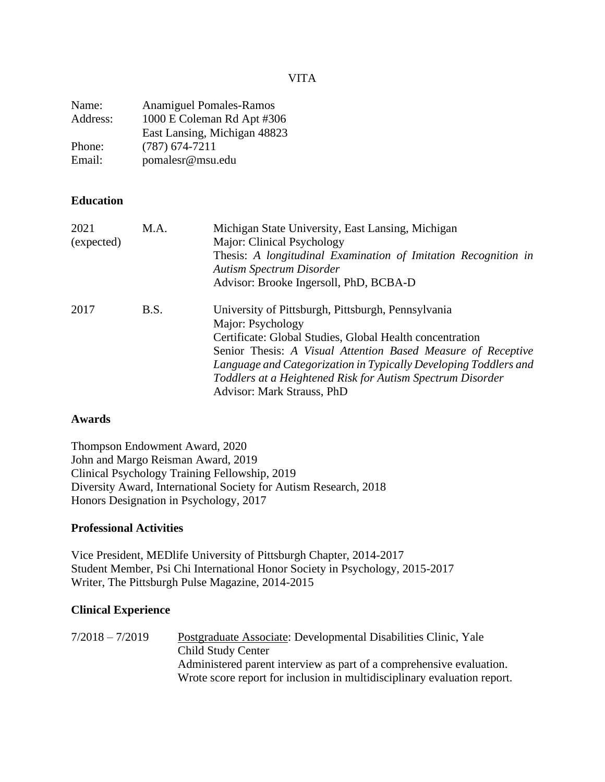VITA

| Name:    | <b>Anamiguel Pomales-Ramos</b> |
|----------|--------------------------------|
| Address: | 1000 E Coleman Rd Apt #306     |
|          | East Lansing, Michigan 48823   |
| Phone:   | $(787)$ 674-7211               |
| Email:   | pomalesr@msu.edu               |

## **Education**

| 2021<br>(expected) | M.A.        | Michigan State University, East Lansing, Michigan<br>Major: Clinical Psychology<br>Thesis: A longitudinal Examination of Imitation Recognition in<br><b>Autism Spectrum Disorder</b><br>Advisor: Brooke Ingersoll, PhD, BCBA-D                                                                                                                                      |
|--------------------|-------------|---------------------------------------------------------------------------------------------------------------------------------------------------------------------------------------------------------------------------------------------------------------------------------------------------------------------------------------------------------------------|
| 2017               | <b>B.S.</b> | University of Pittsburgh, Pittsburgh, Pennsylvania<br>Major: Psychology<br>Certificate: Global Studies, Global Health concentration<br>Senior Thesis: A Visual Attention Based Measure of Receptive<br>Language and Categorization in Typically Developing Toddlers and<br>Toddlers at a Heightened Risk for Autism Spectrum Disorder<br>Advisor: Mark Strauss, PhD |

## **Awards**

Thompson Endowment Award, 2020 John and Margo Reisman Award, 2019 Clinical Psychology Training Fellowship, 2019 Diversity Award, International Society for Autism Research, 2018 Honors Designation in Psychology, 2017

## **Professional Activities**

Vice President, MEDlife University of Pittsburgh Chapter, 2014-2017 Student Member, Psi Chi International Honor Society in Psychology, 2015-2017 Writer, The Pittsburgh Pulse Magazine, 2014-2015

### **Clinical Experience**

7/2018 – 7/2019 Postgraduate Associate: Developmental Disabilities Clinic, Yale Child Study Center Administered parent interview as part of a comprehensive evaluation. Wrote score report for inclusion in multidisciplinary evaluation report.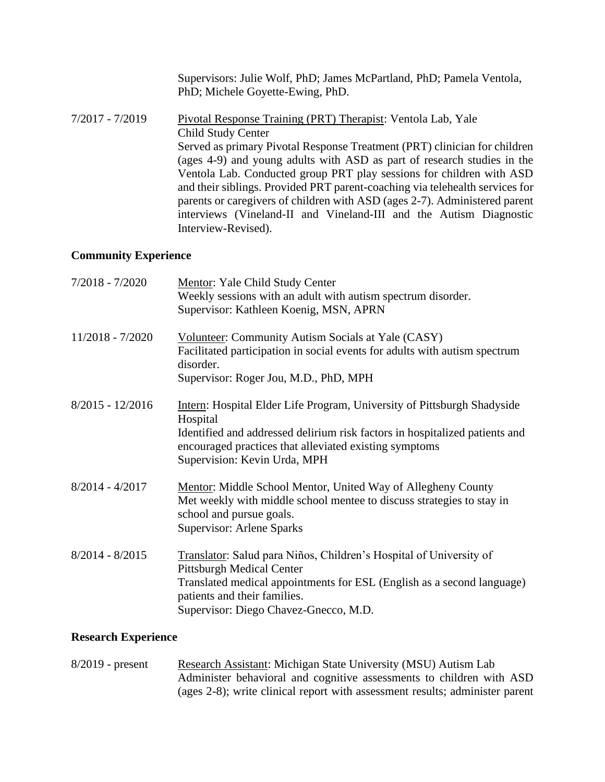|                   | Supervisors: Julie Wolf, PhD; James McPartland, PhD; Pamela Ventola,<br>PhD; Michele Goyette-Ewing, PhD.                                                                                                                                                                                                                                                                                                                                                                                                                                                                      |
|-------------------|-------------------------------------------------------------------------------------------------------------------------------------------------------------------------------------------------------------------------------------------------------------------------------------------------------------------------------------------------------------------------------------------------------------------------------------------------------------------------------------------------------------------------------------------------------------------------------|
| $7/2017 - 7/2019$ | Pivotal Response Training (PRT) Therapist: Ventola Lab, Yale<br>Child Study Center<br>Served as primary Pivotal Response Treatment (PRT) clinician for children<br>(ages 4-9) and young adults with ASD as part of research studies in the<br>Ventola Lab. Conducted group PRT play sessions for children with ASD<br>and their siblings. Provided PRT parent-coaching via telehealth services for<br>parents or caregivers of children with ASD (ages 2-7). Administered parent<br>interviews (Vineland-II and Vineland-III and the Autism Diagnostic<br>Interview-Revised). |
|                   |                                                                                                                                                                                                                                                                                                                                                                                                                                                                                                                                                                               |

# **Community Experience**

| $7/2018 - 7/2020$  | Mentor: Yale Child Study Center<br>Weekly sessions with an adult with autism spectrum disorder.<br>Supervisor: Kathleen Koenig, MSN, APRN                                                                                                                           |
|--------------------|---------------------------------------------------------------------------------------------------------------------------------------------------------------------------------------------------------------------------------------------------------------------|
| $11/2018 - 7/2020$ | <b>Volunteer:</b> Community Autism Socials at Yale (CASY)<br>Facilitated participation in social events for adults with autism spectrum<br>disorder.<br>Supervisor: Roger Jou, M.D., PhD, MPH                                                                       |
| $8/2015 - 12/2016$ | <b>Intern:</b> Hospital Elder Life Program, University of Pittsburgh Shadyside<br>Hospital<br>Identified and addressed delirium risk factors in hospitalized patients and<br>encouraged practices that alleviated existing symptoms<br>Supervision: Kevin Urda, MPH |
| $8/2014 - 4/2017$  | Mentor: Middle School Mentor, United Way of Allegheny County<br>Met weekly with middle school mentee to discuss strategies to stay in<br>school and pursue goals.<br>Supervisor: Arlene Sparks                                                                      |
| $8/2014 - 8/2015$  | Translator: Salud para Niños, Children's Hospital of University of<br><b>Pittsburgh Medical Center</b><br>Translated medical appointments for ESL (English as a second language)<br>patients and their families.<br>Supervisor: Diego Chavez-Gnecco, M.D.           |

## **Research Experience**

| $8/2019$ - present | Research Assistant: Michigan State University (MSU) Autism Lab               |
|--------------------|------------------------------------------------------------------------------|
|                    | Administer behavioral and cognitive assessments to children with ASD         |
|                    | (ages 2-8); write clinical report with assessment results; administer parent |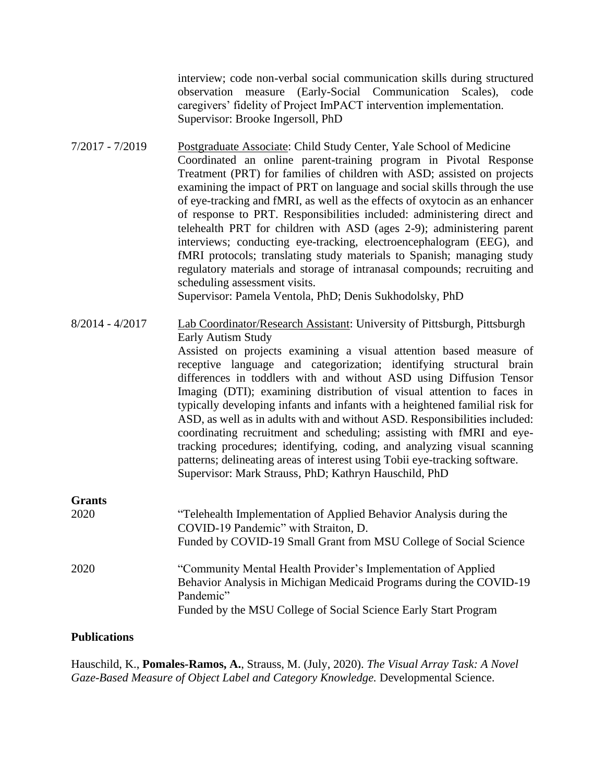interview; code non-verbal social communication skills during structured observation measure (Early-Social Communication Scales), code caregivers' fidelity of Project ImPACT intervention implementation. Supervisor: Brooke Ingersoll, PhD

7/2017 - 7/2019 Postgraduate Associate: Child Study Center, Yale School of Medicine Coordinated an online parent-training program in Pivotal Response Treatment (PRT) for families of children with ASD; assisted on projects examining the impact of PRT on language and social skills through the use of eye-tracking and fMRI, as well as the effects of oxytocin as an enhancer of response to PRT. Responsibilities included: administering direct and telehealth PRT for children with ASD (ages 2-9); administering parent interviews; conducting eye-tracking, electroencephalogram (EEG), and fMRI protocols; translating study materials to Spanish; managing study regulatory materials and storage of intranasal compounds; recruiting and scheduling assessment visits. Supervisor: Pamela Ventola, PhD; Denis Sukhodolsky, PhD

8/2014 - 4/2017 Lab Coordinator/Research Assistant: University of Pittsburgh, Pittsburgh Early Autism Study Assisted on projects examining a visual attention based measure of receptive language and categorization; identifying structural brain differences in toddlers with and without ASD using Diffusion Tensor Imaging (DTI); examining distribution of visual attention to faces in typically developing infants and infants with a heightened familial risk for ASD, as well as in adults with and without ASD. Responsibilities included: coordinating recruitment and scheduling; assisting with fMRI and eyetracking procedures; identifying, coding, and analyzing visual scanning patterns; delineating areas of interest using Tobii eye-tracking software. Supervisor: Mark Strauss, PhD; Kathryn Hauschild, PhD **Grants**

| 2020 | "Telehealth Implementation of Applied Behavior Analysis during the<br>COVID-19 Pandemic" with Straiton, D.<br>Funded by COVID-19 Small Grant from MSU College of Social Science                                      |
|------|----------------------------------------------------------------------------------------------------------------------------------------------------------------------------------------------------------------------|
| 2020 | "Community Mental Health Provider's Implementation of Applied<br>Behavior Analysis in Michigan Medicaid Programs during the COVID-19<br>Pandemic"<br>Funded by the MSU College of Social Science Early Start Program |

### **Publications**

Hauschild, K., **Pomales-Ramos, A.**, Strauss, M. (July, 2020). *The Visual Array Task: A Novel Gaze-Based Measure of Object Label and Category Knowledge.* Developmental Science.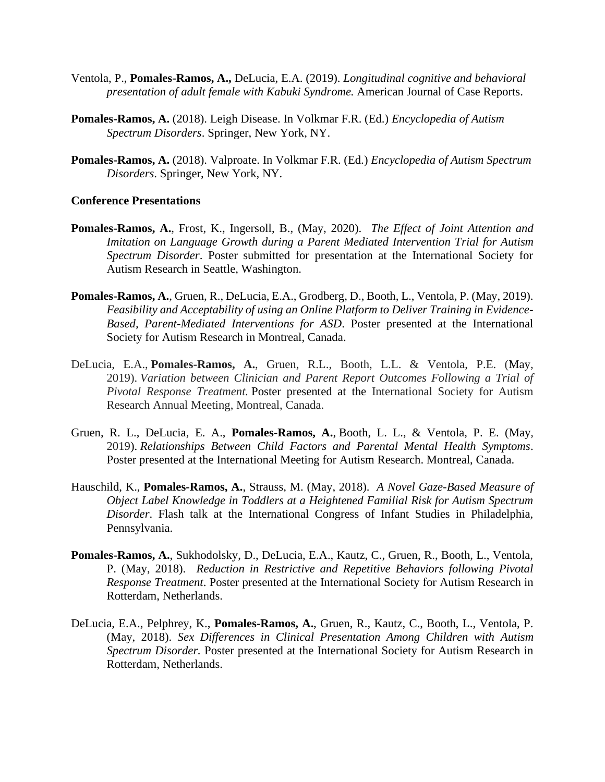- Ventola, P., **Pomales-Ramos, A.,** DeLucia, E.A. (2019). *Longitudinal cognitive and behavioral presentation of adult female with Kabuki Syndrome.* American Journal of Case Reports.
- **Pomales-Ramos, A.** (2018). Leigh Disease. In Volkmar F.R. (Ed.) *Encyclopedia of Autism Spectrum Disorders*. Springer, New York, NY.
- **Pomales-Ramos, A.** (2018). Valproate. In Volkmar F.R. (Ed.) *Encyclopedia of Autism Spectrum Disorders*. Springer, New York, NY.

#### **Conference Presentations**

- **Pomales-Ramos, A.**, Frost, K., Ingersoll, B., (May, 2020). *The Effect of Joint Attention and Imitation on Language Growth during a Parent Mediated Intervention Trial for Autism Spectrum Disorder*. Poster submitted for presentation at the International Society for Autism Research in Seattle, Washington.
- **Pomales-Ramos, A.**, Gruen, R., DeLucia, E.A., Grodberg, D., Booth, L., Ventola, P. (May, 2019). *Feasibility and Acceptability of using an Online Platform to Deliver Training in Evidence-Based, Parent-Mediated Interventions for ASD*. Poster presented at the International Society for Autism Research in Montreal, Canada.
- DeLucia, E.A., **Pomales-Ramos, A.**, Gruen, R.L., Booth, L.L. & Ventola, P.E. (May, 2019). *Variation between Clinician and Parent Report Outcomes Following a Trial of Pivotal Response Treatment.* Poster presented at the International Society for Autism Research Annual Meeting, Montreal, Canada.
- Gruen, R. L., DeLucia, E. A., **Pomales-Ramos, A.**, Booth, L. L., & Ventola, P. E. (May, 2019). *Relationships Between Child Factors and Parental Mental Health Symptoms*. Poster presented at the International Meeting for Autism Research. Montreal, Canada.
- Hauschild, K., **Pomales-Ramos, A.**, Strauss, M. (May, 2018). *A Novel Gaze-Based Measure of Object Label Knowledge in Toddlers at a Heightened Familial Risk for Autism Spectrum Disorder*. Flash talk at the International Congress of Infant Studies in Philadelphia, Pennsylvania.
- **Pomales-Ramos, A.**, Sukhodolsky, D., DeLucia, E.A., Kautz, C., Gruen, R., Booth, L., Ventola, P. (May, 2018). *Reduction in Restrictive and Repetitive Behaviors following Pivotal Response Treatment*. Poster presented at the International Society for Autism Research in Rotterdam, Netherlands.
- DeLucia, E.A., Pelphrey, K., **Pomales-Ramos, A.**, Gruen, R., Kautz, C., Booth, L., Ventola, P. (May, 2018). *Sex Differences in Clinical Presentation Among Children with Autism Spectrum Disorder.* Poster presented at the International Society for Autism Research in Rotterdam, Netherlands.